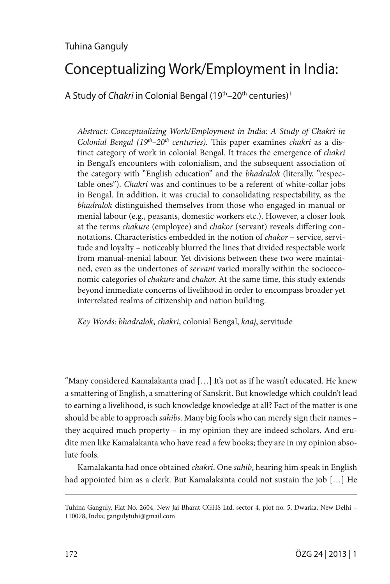## Tuhina Ganguly

# Conceptualizing Work/Employment in India:

A Study of *Chakri* in Colonial Bengal (19<sup>th</sup>–20<sup>th</sup> centuries)<sup>1</sup>

*Abstract: Conceptualizing Work/Employment in India: A Study of Chakri in Colonial Bengal (19th–20th centuries).* This paper examines *chakri* as a distinct category of work in colonial Bengal. It traces the emergence of *chakri* in Bengal's encounters with colonialism, and the subsequent association of the category with "English education" and the *bhadralok* (literally, "respectable ones"). *Chakri* was and continues to be a referent of white-collar jobs in Bengal. In addition, it was crucial to consolidating respectability, as the *bhadralok* distinguished themselves from those who engaged in manual or menial labour (e.g., peasants, domestic workers etc.). However, a closer look at the terms *chakure* (employee) and *chakor* (servant) reveals differing connotations. Characteristics embedded in the notion of *chakor* – service, servitude and loyalty – noticeably blurred the lines that divided respectable work from manual-menial labour. Yet divisions between these two were maintained, even as the undertones of *servant* varied morally within the socioeconomic categories of *chakure* and *chakor.* At the same time, this study extends beyond immediate concerns of livelihood in order to encompass broader yet interrelated realms of citizenship and nation building.

*Key Words*: *bhadralok*, *chakri*, colonial Bengal, *kaaj*, servitude

"Many considered Kamalakanta mad […] It's not as if he wasn't educated. He knew a smattering of English, a smattering of Sanskrit. But knowledge which couldn't lead to earning a livelihood, is such knowledge knowledge at all? Fact of the matter is one should be able to approach *sahibs*. Many big fools who can merely sign their names – they acquired much property – in my opinion they are indeed scholars. And erudite men like Kamalakanta who have read a few books; they are in my opinion absolute fools.

Kamalakanta had once obtained *chakri*. One *sahib*, hearing him speak in English had appointed him as a clerk. But Kamalakanta could not sustain the job […] He

Tuhina Ganguly, Flat No. 2604, New Jai Bharat CGHS Ltd, sector 4, plot no. 5, Dwarka, New Delhi – 110078, India; gangulytuhi@gmail.com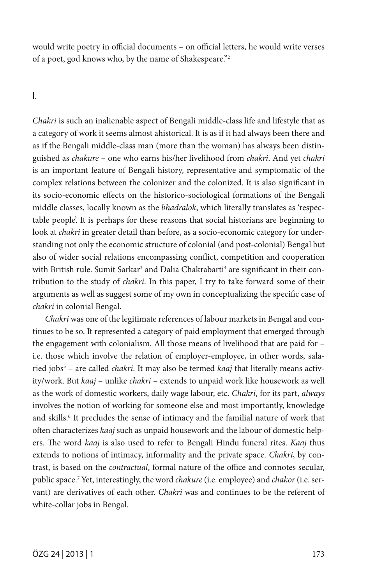would write poetry in official documents – on official letters, he would write verses of a poet, god knows who, by the name of Shakespeare."2

I.

*Chakri* is such an inalienable aspect of Bengali middle-class life and lifestyle that as a category of work it seems almost ahistorical. It is as if it had always been there and as if the Bengali middle-class man (more than the woman) has always been distinguished as *chakure* – one who earns his/her livelihood from *chakri*. And yet *chakri* is an important feature of Bengali history, representative and symptomatic of the complex relations between the colonizer and the colonized. It is also significant in its socio-economic effects on the historico-sociological formations of the Bengali middle classes, locally known as the *bhadralok*, which literally translates as 'respectable people'. It is perhaps for these reasons that social historians are beginning to look at *chakri* in greater detail than before, as a socio-economic category for understanding not only the economic structure of colonial (and post-colonial) Bengal but also of wider social relations encompassing conflict, competition and cooperation with British rule. Sumit Sarkar<sup>3</sup> and Dalia Chakrabarti<sup>4</sup> are significant in their contribution to the study of *chakri*. In this paper, I try to take forward some of their arguments as well as suggest some of my own in conceptualizing the specific case of *chakri* in colonial Bengal.

*Chakri* was one of the legitimate references of labour markets in Bengal and continues to be so. It represented a category of paid employment that emerged through the engagement with colonialism. All those means of livelihood that are paid for – i.e. those which involve the relation of employer-employee, in other words, salaried jobs<sup>5</sup> – are called *chakri*. It may also be termed *kaaj* that literally means activity/work. But *kaaj* – unlike *chakri* – extends to unpaid work like housework as well as the work of domestic workers, daily wage labour, etc. *Chakri*, for its part, *always* involves the notion of working for someone else and most importantly, knowledge and skills.6 It precludes the sense of intimacy and the familial nature of work that often characterizes *kaaj* such as unpaid housework and the labour of domestic helpers. The word *kaaj* is also used to refer to Bengali Hindu funeral rites. *Kaaj* thus extends to notions of intimacy, informality and the private space. *Chakri*, by contrast, is based on the *contractual*, formal nature of the office and connotes secular, public space.7 Yet, interestingly, the word *chakure* (i.e. employee) and *chakor* (i.e. servant) are derivatives of each other. *Chakri* was and continues to be the referent of white-collar jobs in Bengal.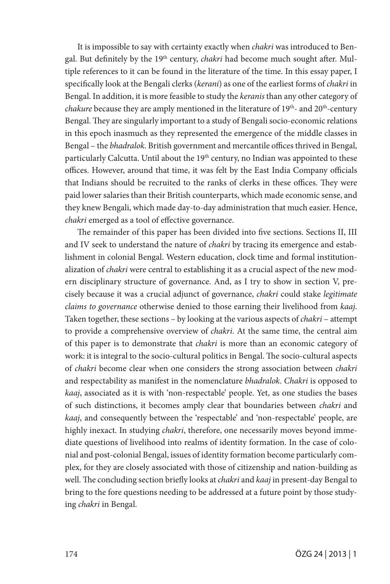It is impossible to say with certainty exactly when *chakri* was introduced to Bengal. But definitely by the 19th century, *chakri* had become much sought after. Multiple references to it can be found in the literature of the time. In this essay paper, I specifically look at the Bengali clerks (*kerani*) as one of the earliest forms of *chakri* in Bengal. In addition, it is more feasible to study the *keranis* than any other category of *chakure* because they are amply mentioned in the literature of 19<sup>th</sup>- and 20<sup>th</sup>-century Bengal. They are singularly important to a study of Bengali socio-economic relations in this epoch inasmuch as they represented the emergence of the middle classes in Bengal – the *bhadralok*. British government and mercantile offices thrived in Bengal, particularly Calcutta. Until about the 19<sup>th</sup> century, no Indian was appointed to these offices. However, around that time, it was felt by the East India Company officials that Indians should be recruited to the ranks of clerks in these offices. They were paid lower salaries than their British counterparts, which made economic sense, and they knew Bengali, which made day-to-day administration that much easier. Hence, *chakri* emerged as a tool of effective governance.

The remainder of this paper has been divided into five sections. Sections II, III and IV seek to understand the nature of *chakri* by tracing its emergence and establishment in colonial Bengal. Western education, clock time and formal institutionalization of *chakri* were central to establishing it as a crucial aspect of the new modern disciplinary structure of governance. And, as I try to show in section V, precisely because it was a crucial adjunct of governance, *chakri* could stake *legitimate claims to governance* otherwise denied to those earning their livelihood from *kaaj*. Taken together, these sections – by looking at the various aspects of *chakri* – attempt to provide a comprehensive overview of *chakri*. At the same time, the central aim of this paper is to demonstrate that *chakri* is more than an economic category of work: it is integral to the socio-cultural politics in Bengal. The socio-cultural aspects of *chakri* become clear when one considers the strong association between *chakri* and respectability as manifest in the nomenclature *bhadralok*. *Chakri* is opposed to *kaaj*, associated as it is with 'non-respectable' people. Yet, as one studies the bases of such distinctions, it becomes amply clear that boundaries between *chakri* and *kaaj*, and consequently between the 'respectable' and 'non-respectable' people, are highly inexact. In studying *chakri*, therefore, one necessarily moves beyond immediate questions of livelihood into realms of identity formation. In the case of colonial and post-colonial Bengal, issues of identity formation become particularly complex, for they are closely associated with those of citizenship and nation-building as well. The concluding section briefly looks at *chakri* and *kaaj* in present-day Bengal to bring to the fore questions needing to be addressed at a future point by those studying *chakri* in Bengal.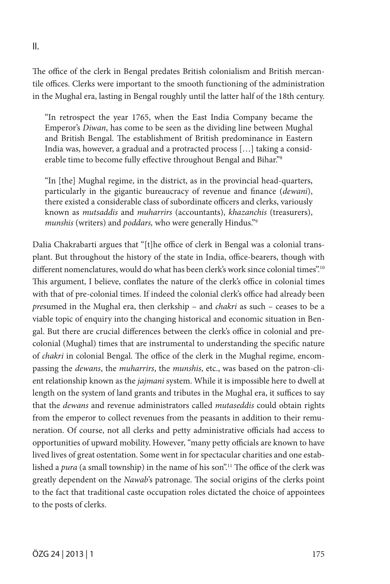The office of the clerk in Bengal predates British colonialism and British mercantile offices. Clerks were important to the smooth functioning of the administration in the Mughal era, lasting in Bengal roughly until the latter half of the 18th century.

"In retrospect the year 1765, when the East India Company became the Emperor's *Diwan*, has come to be seen as the dividing line between Mughal and British Bengal. The establishment of British predominance in Eastern India was, however, a gradual and a protracted process […] taking a considerable time to become fully effective throughout Bengal and Bihar."8

"In [the] Mughal regime, in the district, as in the provincial head-quarters, particularly in the gigantic bureaucracy of revenue and finance (*dewani*), there existed a considerable class of subordinate officers and clerks, variously known as *mutsaddis* and *muharrirs* (accountants), *khazanchis* (treasurers), *munshis* (writers) and *poddars,* who were generally Hindus."9

Dalia Chakrabarti argues that "[t]he office of clerk in Bengal was a colonial transplant. But throughout the history of the state in India, office-bearers, though with different nomenclatures, would do what has been clerk's work since colonial times".<sup>10</sup> This argument, I believe, conflates the nature of the clerk's office in colonial times with that of pre-colonial times. If indeed the colonial clerk's office had already been *pre*sumed in the Mughal era, then clerkship – and *chakri* as such – ceases to be a viable topic of enquiry into the changing historical and economic situation in Bengal. But there are crucial differences between the clerk's office in colonial and precolonial (Mughal) times that are instrumental to understanding the specific nature of *chakri* in colonial Bengal. The office of the clerk in the Mughal regime, encompassing the *dewans*, the *muharrirs*, the *munshis*, etc., was based on the patron-client relationship known as the *jajmani* system. While it is impossible here to dwell at length on the system of land grants and tributes in the Mughal era, it suffices to say that the *dewans* and revenue administrators called *mutaseddis* could obtain rights from the emperor to collect revenues from the peasants in addition to their remuneration. Of course, not all clerks and petty administrative officials had access to opportunities of upward mobility. However, "many petty officials are known to have lived lives of great ostentation. Some went in for spectacular charities and one established a *pura* (a small township) in the name of his son<sup>"11</sup> The office of the clerk was greatly dependent on the *Nawab*'s patronage. The social origins of the clerks point to the fact that traditional caste occupation roles dictated the choice of appointees to the posts of clerks.

II.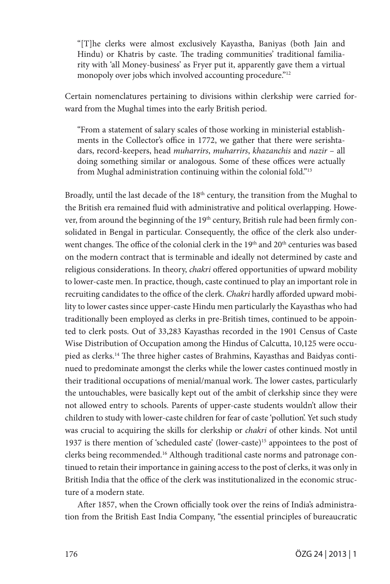"[T]he clerks were almost exclusively Kayastha, Baniyas (both Jain and Hindu) or Khatris by caste. The trading communities' traditional familiarity with 'all Money-business' as Fryer put it, apparently gave them a virtual monopoly over jobs which involved accounting procedure."<sup>12</sup>

Certain nomenclatures pertaining to divisions within clerkship were carried forward from the Mughal times into the early British period.

"From a statement of salary scales of those working in ministerial establishments in the Collector's office in 1772, we gather that there were serishtadars, record-keepers, head *muharrirs*, *muharrirs*, *khazanchis* and *nazir* – all doing something similar or analogous. Some of these offices were actually from Mughal administration continuing within the colonial fold."13

Broadly, until the last decade of the 18<sup>th</sup> century, the transition from the Mughal to the British era remained fluid with administrative and political overlapping. However, from around the beginning of the 19<sup>th</sup> century, British rule had been firmly consolidated in Bengal in particular. Consequently, the office of the clerk also underwent changes. The office of the colonial clerk in the  $19<sup>th</sup>$  and  $20<sup>th</sup>$  centuries was based on the modern contract that is terminable and ideally not determined by caste and religious considerations. In theory, *chakri* offered opportunities of upward mobility to lower-caste men. In practice, though, caste continued to play an important role in recruiting candidates to the office of the clerk. *Chakri* hardly afforded upward mobility to lower castes since upper-caste Hindu men particularly the Kayasthas who had traditionally been employed as clerks in pre-British times, continued to be appointed to clerk posts. Out of 33,283 Kayasthas recorded in the 1901 Census of Caste Wise Distribution of Occupation among the Hindus of Calcutta, 10,125 were occupied as clerks.14 The three higher castes of Brahmins, Kayasthas and Baidyas continued to predominate amongst the clerks while the lower castes continued mostly in their traditional occupations of menial/manual work. The lower castes, particularly the untouchables, were basically kept out of the ambit of clerkship since they were not allowed entry to schools. Parents of upper-caste students wouldn't allow their children to study with lower-caste children for fear of caste 'pollution'. Yet such study was crucial to acquiring the skills for clerkship or *chakri* of other kinds. Not until 1937 is there mention of 'scheduled caste' (lower-caste)15 appointees to the post of clerks being recommended.<sup>16</sup> Although traditional caste norms and patronage continued to retain their importance in gaining access to the post of clerks, it was only in British India that the office of the clerk was institutionalized in the economic structure of a modern state.

After 1857, when the Crown officially took over the reins of India's administration from the British East India Company, "the essential principles of bureaucratic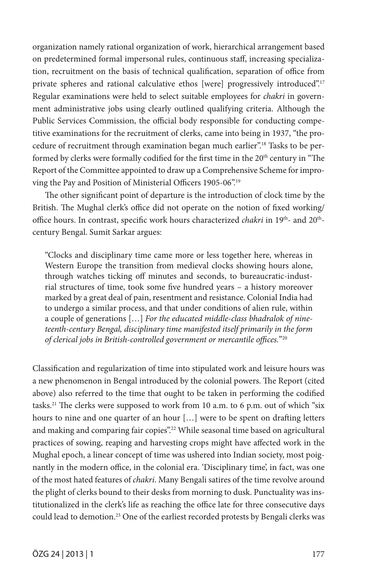organization namely rational organization of work, hierarchical arrangement based on predetermined formal impersonal rules, continuous staff, increasing specialization, recruitment on the basis of technical qualification, separation of office from private spheres and rational calculative ethos [were] progressively introduced".<sup>17</sup> Regular examinations were held to select suitable employees for *chakri* in government administrative jobs using clearly outlined qualifying criteria. Although the Public Services Commission, the official body responsible for conducting competitive examinations for the recruitment of clerks, came into being in 1937, "the procedure of recruitment through examination began much earlier".18 Tasks to be performed by clerks were formally codified for the first time in the 20<sup>th</sup> century in "The Report of the Committee appointed to draw up a Comprehensive Scheme for improving the Pay and Position of Ministerial Officers 1905-06".19

The other significant point of departure is the introduction of clock time by the British. The Mughal clerk's office did not operate on the notion of fixed working/ office hours. In contrast, specific work hours characterized *chakri* in 19<sup>th</sup>- and 20<sup>th</sup>century Bengal. Sumit Sarkar argues:

"Clocks and disciplinary time came more or less together here, whereas in Western Europe the transition from medieval clocks showing hours alone, through watches ticking off minutes and seconds, to bureaucratic-industrial structures of time, took some five hundred years – a history moreover marked by a great deal of pain, resentment and resistance. Colonial India had to undergo a similar process, and that under conditions of alien rule, within a couple of generations […] *For the educated middle-class bhadralok of nineteenth-century Bengal, disciplinary time manifested itself primarily in the form of clerical jobs in British-controlled government or mercantile offices.*"20

Classification and regularization of time into stipulated work and leisure hours was a new phenomenon in Bengal introduced by the colonial powers. The Report (cited above) also referred to the time that ought to be taken in performing the codified tasks.21 The clerks were supposed to work from 10 a.m. to 6 p.m. out of which "six hours to nine and one quarter of an hour […] were to be spent on drafting letters and making and comparing fair copies".<sup>22</sup> While seasonal time based on agricultural practices of sowing, reaping and harvesting crops might have affected work in the Mughal epoch, a linear concept of time was ushered into Indian society, most poignantly in the modern office, in the colonial era. 'Disciplinary time', in fact, was one of the most hated features of *chakri*. Many Bengali satires of the time revolve around the plight of clerks bound to their desks from morning to dusk. Punctuality was institutionalized in the clerk's life as reaching the office late for three consecutive days could lead to demotion.<sup>23</sup> One of the earliest recorded protests by Bengali clerks was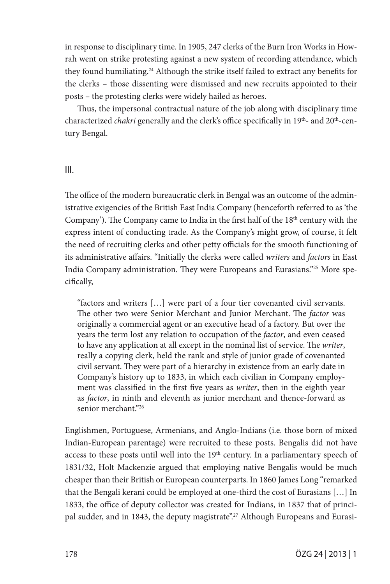in response to disciplinary time. In 1905, 247 clerks of the Burn Iron Works in Howrah went on strike protesting against a new system of recording attendance, which they found humiliating.<sup>24</sup> Although the strike itself failed to extract any benefits for the clerks – those dissenting were dismissed and new recruits appointed to their posts – the protesting clerks were widely hailed as heroes.

Thus, the impersonal contractual nature of the job along with disciplinary time characterized *chakri* generally and the clerk's office specifically in 19<sup>th</sup>- and 20<sup>th</sup>-century Bengal.

#### III.

The office of the modern bureaucratic clerk in Bengal was an outcome of the administrative exigencies of the British East India Company (henceforth referred to as 'the Company'). The Company came to India in the first half of the 18<sup>th</sup> century with the express intent of conducting trade. As the Company's might grow, of course, it felt the need of recruiting clerks and other petty officials for the smooth functioning of its administrative affairs. "Initially the clerks were called *writers* and *factors* in East India Company administration. They were Europeans and Eurasians."25 More specifically,

"factors and writers […] were part of a four tier covenanted civil servants. The other two were Senior Merchant and Junior Merchant. The *factor* was originally a commercial agent or an executive head of a factory. But over the years the term lost any relation to occupation of the *factor*, and even ceased to have any application at all except in the nominal list of service. The *writer*, really a copying clerk, held the rank and style of junior grade of covenanted civil servant. They were part of a hierarchy in existence from an early date in Company's history up to 1833, in which each civilian in Company employment was classified in the first five years as *writer*, then in the eighth year as *factor*, in ninth and eleventh as junior merchant and thence-forward as senior merchant."<sup>26</sup>

Englishmen, Portuguese, Armenians, and Anglo-Indians (i.e. those born of mixed Indian-European parentage) were recruited to these posts. Bengalis did not have access to these posts until well into the 19<sup>th</sup> century. In a parliamentary speech of 1831/32, Holt Mackenzie argued that employing native Bengalis would be much cheaper than their British or European counterparts. In 1860 James Long "remarked that the Bengali kerani could be employed at one-third the cost of Eurasians […] In 1833, the office of deputy collector was created for Indians, in 1837 that of principal sudder, and in 1843, the deputy magistrate".<sup>27</sup> Although Europeans and Eurasi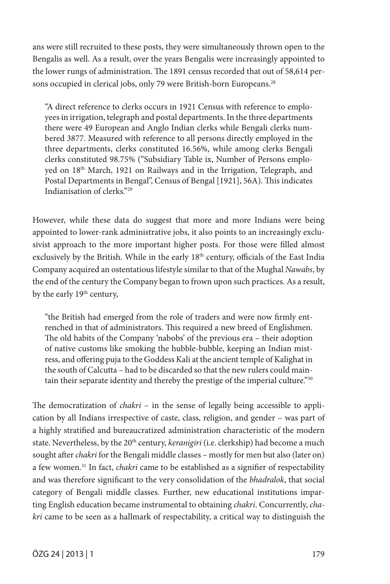ans were still recruited to these posts, they were simultaneously thrown open to the Bengalis as well. As a result, over the years Bengalis were increasingly appointed to the lower rungs of administration. The 1891 census recorded that out of 58,614 persons occupied in clerical jobs, only 79 were British-born Europeans.<sup>28</sup>

"A direct reference to clerks occurs in 1921 Census with reference to employees in irrigation, telegraph and postal departments. In the three departments there were 49 European and Anglo Indian clerks while Bengali clerks numbered 3877. Measured with reference to all persons directly employed in the three departments, clerks constituted 16.56%, while among clerks Bengali clerks constituted 98.75% ("Subsidiary Table ix, Number of Persons employed on 18th March, 1921 on Railways and in the Irrigation, Telegraph, and Postal Departments in Bengal", Census of Bengal [1921], 56A). This indicates Indianisation of clerks."29

However, while these data do suggest that more and more Indians were being appointed to lower-rank administrative jobs, it also points to an increasingly exclusivist approach to the more important higher posts. For those were filled almost exclusively by the British. While in the early 18<sup>th</sup> century, officials of the East India Company acquired an ostentatious lifestyle similar to that of the Mughal *Nawabs*, by the end of the century the Company began to frown upon such practices. As a result, by the early 19<sup>th</sup> century,

"the British had emerged from the role of traders and were now firmly entrenched in that of administrators. This required a new breed of Englishmen. The old habits of the Company 'nabobs' of the previous era – their adoption of native customs like smoking the hubble-bubble, keeping an Indian mistress, and offering puja to the Goddess Kali at the ancient temple of Kalighat in the south of Calcutta – had to be discarded so that the new rulers could maintain their separate identity and thereby the prestige of the imperial culture."30

The democratization of *chakri* – in the sense of legally being accessible to application by all Indians irrespective of caste, class, religion, and gender – was part of a highly stratified and bureaucratized administration characteristic of the modern state. Nevertheless, by the 20<sup>th</sup> century, *keranigiri* (i.e. clerkship) had become a much sought after *chakri* for the Bengali middle classes – mostly for men but also (later on) a few women.31 In fact, *chakri* came to be established as a signifier of respectability and was therefore significant to the very consolidation of the *bhadralok*, that social category of Bengali middle classes. Further, new educational institutions imparting English education became instrumental to obtaining *chakri*. Concurrently, *chakri* came to be seen as a hallmark of respectability, a critical way to distinguish the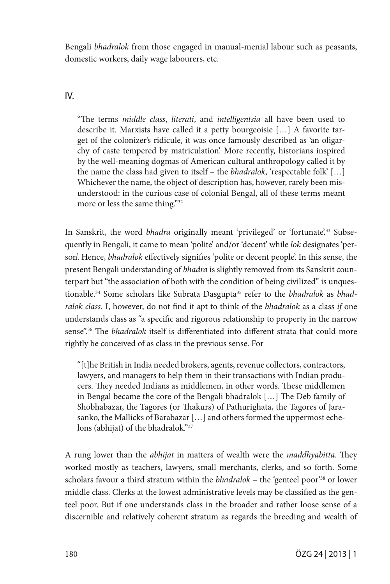Bengali *bhadralok* from those engaged in manual-menial labour such as peasants, domestic workers, daily wage labourers, etc.

## $IV$

"The terms *middle class*, *literati*, and *intelligentsia* all have been used to describe it. Marxists have called it a petty bourgeoisie […] A favorite target of the colonizer's ridicule, it was once famously described as 'an oligarchy of caste tempered by matriculation'. More recently, historians inspired by the well-meaning dogmas of American cultural anthropology called it by the name the class had given to itself – the *bhadralok*, 'respectable folk' […] Whichever the name, the object of description has, however, rarely been misunderstood: in the curious case of colonial Bengal, all of these terms meant more or less the same thing."32

In Sanskrit, the word *bhadra* originally meant 'privileged' or 'fortunate'.<sup>33</sup> Subsequently in Bengali, it came to mean 'polite' and/or 'decent' while *lok* designates 'person'. Hence, *bhadralok* effectively signifies 'polite or decent people'. In this sense, the present Bengali understanding of *bhadra* is slightly removed from its Sanskrit counterpart but "the association of both with the condition of being civilized" is unquestionable.34 Some scholars like Subrata Dasgupta35 refer to the *bhadralok* as *bhadralok class*. I, however, do not find it apt to think of the *bhadralok* as a class *if* one understands class as "a specific and rigorous relationship to property in the narrow sense".36 The *bhadralok* itself is differentiated into different strata that could more rightly be conceived of as class in the previous sense. For

"[t]he British in India needed brokers, agents, revenue collectors, contractors, lawyers, and managers to help them in their transactions with Indian producers. They needed Indians as middlemen, in other words. These middlemen in Bengal became the core of the Bengali bhadralok […] The Deb family of Shobhabazar, the Tagores (or Thakurs) of Pathurighata, the Tagores of Jarasanko, the Mallicks of Barabazar […] and others formed the uppermost echelons (abhijat) of the bhadralok."37

A rung lower than the *abhijat* in matters of wealth were the *maddhyabitta*. They worked mostly as teachers, lawyers, small merchants, clerks, and so forth. Some scholars favour a third stratum within the *bhadralok* – the 'genteel poor'38 or lower middle class. Clerks at the lowest administrative levels may be classified as the genteel poor. But if one understands class in the broader and rather loose sense of a discernible and relatively coherent stratum as regards the breeding and wealth of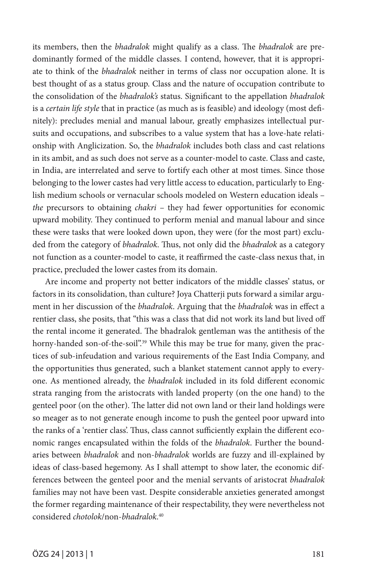its members, then the *bhadralok* might qualify as a class. The *bhadralok* are predominantly formed of the middle classes. I contend, however, that it is appropriate to think of the *bhadralok* neither in terms of class nor occupation alone. It is best thought of as a status group. Class and the nature of occupation contribute to the consolidation of the *bhadralok's* status. Significant to the appellation *bhadralok*  is a *certain life style* that in practice (as much as is feasible) and ideology (most definitely): precludes menial and manual labour, greatly emphasizes intellectual pursuits and occupations, and subscribes to a value system that has a love-hate relationship with Anglicization. So, the *bhadralok* includes both class and cast relations in its ambit, and as such does not serve as a counter-model to caste. Class and caste, in India, are interrelated and serve to fortify each other at most times. Since those belonging to the lower castes had very little access to education, particularly to English medium schools or vernacular schools modeled on Western education ideals – *the* precursors to obtaining *chakri* – they had fewer opportunities for economic upward mobility. They continued to perform menial and manual labour and since these were tasks that were looked down upon, they were (for the most part) excluded from the category of *bhadralok*. Thus, not only did the *bhadralok* as a category not function as a counter-model to caste, it reaffirmed the caste-class nexus that, in practice, precluded the lower castes from its domain.

Are income and property not better indicators of the middle classes' status, or factors in its consolidation, than culture? Joya Chatterji puts forward a similar argument in her discussion of the *bhadralok*. Arguing that the *bhadralok* was in effect a rentier class, she posits, that "this was a class that did not work its land but lived off the rental income it generated. The bhadralok gentleman was the antithesis of the horny-handed son-of-the-soil".<sup>39</sup> While this may be true for many, given the practices of sub-infeudation and various requirements of the East India Company, and the opportunities thus generated, such a blanket statement cannot apply to everyone. As mentioned already, the *bhadralok* included in its fold different economic strata ranging from the aristocrats with landed property (on the one hand) to the genteel poor (on the other). The latter did not own land or their land holdings were so meager as to not generate enough income to push the genteel poor upward into the ranks of a 'rentier class'. Thus, class cannot sufficiently explain the different economic ranges encapsulated within the folds of the *bhadralok*. Further the boundaries between *bhadralok* and non-*bhadralok* worlds are fuzzy and ill-explained by ideas of class-based hegemony. As I shall attempt to show later, the economic differences between the genteel poor and the menial servants of aristocrat *bhadralok* families may not have been vast. Despite considerable anxieties generated amongst the former regarding maintenance of their respectability, they were nevertheless not considered *chotolok*/non-*bhadralok*. 40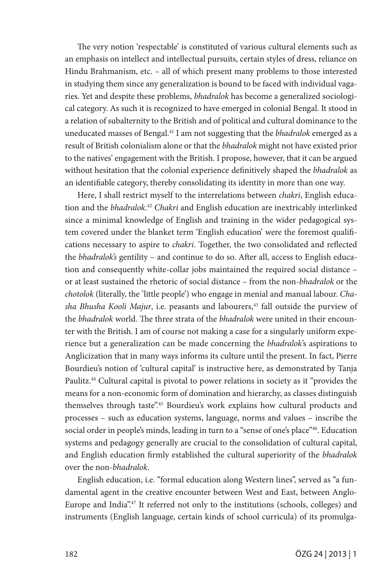The very notion 'respectable' is constituted of various cultural elements such as an emphasis on intellect and intellectual pursuits, certain styles of dress, reliance on Hindu Brahmanism, etc. – all of which present many problems to those interested in studying them since any generalization is bound to be faced with individual vagaries. Yet and despite these problems, *bhadralok* has become a generalized sociological category. As such it is recognized to have emerged in colonial Bengal. It stood in a relation of subalternity to the British and of political and cultural dominance to the uneducated masses of Bengal.41 I am not suggesting that the *bhadralok* emerged as a result of British colonialism alone or that the *bhadralok* might not have existed prior to the natives' engagement with the British. I propose, however, that it can be argued without hesitation that the colonial experience definitively shaped the *bhadralok* as an identifiable category, thereby consolidating its identity in more than one way.

Here, I shall restrict myself to the interrelations between *chakri*, English education and the *bhadralok*. <sup>42</sup> *Chakri* and English education are inextricably interlinked since a minimal knowledge of English and training in the wider pedagogical system covered under the blanket term 'English education' were the foremost qualifications necessary to aspire to *chakri*. Together, the two consolidated and reflected the *bhadralok's* gentility – and continue to do so. After all, access to English education and consequently white-collar jobs maintained the required social distance – or at least sustained the rhetoric of social distance – from the non-*bhadralok* or the *chotolok* (literally, the 'little people') who engage in menial and manual labour. *Chasha Bhusha Kooli Majur*, i.e. peasants and labourers,<sup>43</sup> fall outside the purview of the *bhadralok* world. The three strata of the *bhadralok* were united in their encounter with the British. I am of course not making a case for a singularly uniform experience but a generalization can be made concerning the *bhadralok*'s aspirations to Anglicization that in many ways informs its culture until the present. In fact, Pierre Bourdieu's notion of 'cultural capital' is instructive here, as demonstrated by Tanja Paulitz.<sup>44</sup> Cultural capital is pivotal to power relations in society as it "provides the means for a non-economic form of domination and hierarchy, as classes distinguish themselves through taste".45 Bourdieu's work explains how cultural products and processes – such as education systems, language, norms and values – inscribe the social order in people's minds, leading in turn to a "sense of one's place"<sup>46</sup>. Education systems and pedagogy generally are crucial to the consolidation of cultural capital, and English education firmly established the cultural superiority of the *bhadralok* over the non-*bhadralok*.

English education, i.e. "formal education along Western lines", served as "a fundamental agent in the creative encounter between West and East, between Anglo-Europe and India".<sup>47</sup> It referred not only to the institutions (schools, colleges) and instruments (English language, certain kinds of school curricula) of its promulga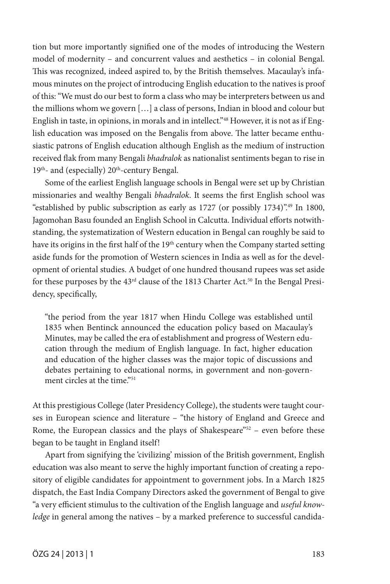tion but more importantly signified one of the modes of introducing the Western model of modernity – and concurrent values and aesthetics – in colonial Bengal. This was recognized, indeed aspired to, by the British themselves. Macaulay's infamous minutes on the project of introducing English education to the natives is proof of this: "We must do our best to form a class who may be interpreters between us and the millions whom we govern […] a class of persons, Indian in blood and colour but English in taste, in opinions, in morals and in intellect."48 However, it is not as if English education was imposed on the Bengalis from above. The latter became enthusiastic patrons of English education although English as the medium of instruction received flak from many Bengali *bhadralok* as nationalist sentiments began to rise in  $19<sup>th</sup>$ - and (especially)  $20<sup>th</sup>$ -century Bengal.

Some of the earliest English language schools in Bengal were set up by Christian missionaries and wealthy Bengali *bhadralok*. It seems the first English school was "established by public subscription as early as 1727 (or possibly 1734)".49 In 1800, Jagomohan Basu founded an English School in Calcutta. Individual efforts notwithstanding, the systematization of Western education in Bengal can roughly be said to have its origins in the first half of the 19<sup>th</sup> century when the Company started setting aside funds for the promotion of Western sciences in India as well as for the development of oriental studies. A budget of one hundred thousand rupees was set aside for these purposes by the 43<sup>rd</sup> clause of the 1813 Charter Act.<sup>50</sup> In the Bengal Presidency, specifically,

"the period from the year 1817 when Hindu College was established until 1835 when Bentinck announced the education policy based on Macaulay's Minutes, may be called the era of establishment and progress of Western education through the medium of English language. In fact, higher education and education of the higher classes was the major topic of discussions and debates pertaining to educational norms, in government and non-government circles at the time."51

At this prestigious College (later Presidency College), the students were taught courses in European science and literature – "the history of England and Greece and Rome, the European classics and the plays of Shakespeare" $52$  – even before these began to be taught in England itself!

Apart from signifying the 'civilizing' mission of the British government, English education was also meant to serve the highly important function of creating a repository of eligible candidates for appointment to government jobs. In a March 1825 dispatch, the East India Company Directors asked the government of Bengal to give "a very efficient stimulus to the cultivation of the English language and *useful knowledge* in general among the natives – by a marked preference to successful candida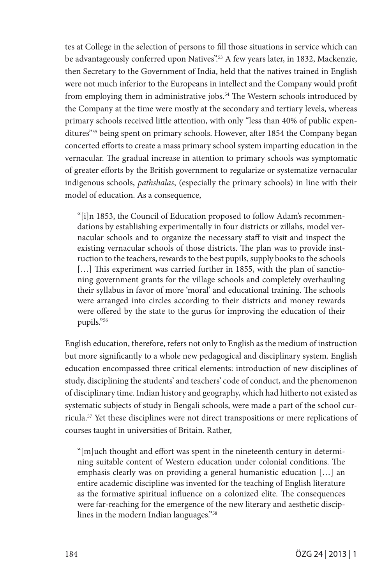tes at College in the selection of persons to fill those situations in service which can be advantageously conferred upon Natives".<sup>53</sup> A few years later, in 1832, Mackenzie, then Secretary to the Government of India, held that the natives trained in English were not much inferior to the Europeans in intellect and the Company would profit from employing them in administrative jobs.<sup>54</sup> The Western schools introduced by the Company at the time were mostly at the secondary and tertiary levels, whereas primary schools received little attention, with only "less than 40% of public expenditures"55 being spent on primary schools. However, after 1854 the Company began concerted efforts to create a mass primary school system imparting education in the vernacular. The gradual increase in attention to primary schools was symptomatic of greater efforts by the British government to regularize or systematize vernacular indigenous schools, *pathshalas*, (especially the primary schools) in line with their model of education. As a consequence,

"[i]n 1853, the Council of Education proposed to follow Adam's recommendations by establishing experimentally in four districts or zillahs, model vernacular schools and to organize the necessary staff to visit and inspect the existing vernacular schools of those districts. The plan was to provide instruction to the teachers, rewards to the best pupils, supply books to the schools [...] This experiment was carried further in 1855, with the plan of sanctioning government grants for the village schools and completely overhauling their syllabus in favor of more 'moral' and educational training. The schools were arranged into circles according to their districts and money rewards were offered by the state to the gurus for improving the education of their pupils."56

English education, therefore, refers not only to English as the medium of instruction but more significantly to a whole new pedagogical and disciplinary system. English education encompassed three critical elements: introduction of new disciplines of study, disciplining the students' and teachers' code of conduct, and the phenomenon of disciplinary time. Indian history and geography, which had hitherto not existed as systematic subjects of study in Bengali schools, were made a part of the school curricula.57 Yet these disciplines were not direct transpositions or mere replications of courses taught in universities of Britain. Rather,

"[m]uch thought and effort was spent in the nineteenth century in determining suitable content of Western education under colonial conditions. The emphasis clearly was on providing a general humanistic education […] an entire academic discipline was invented for the teaching of English literature as the formative spiritual influence on a colonized elite. The consequences were far-reaching for the emergence of the new literary and aesthetic disciplines in the modern Indian languages."58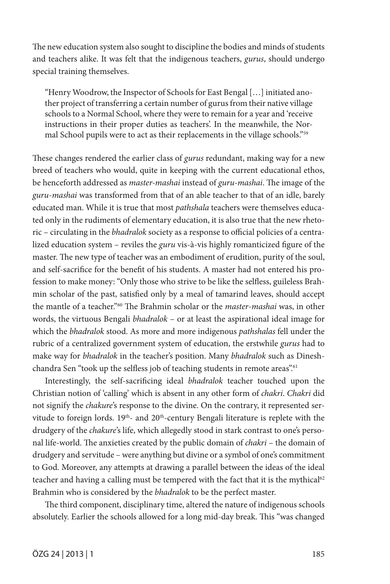The new education system also sought to discipline the bodies and minds of students and teachers alike. It was felt that the indigenous teachers, *gurus*, should undergo special training themselves.

"Henry Woodrow, the Inspector of Schools for East Bengal […] initiated another project of transferring a certain number of gurus from their native village schools to a Normal School, where they were to remain for a year and 'receive instructions in their proper duties as teachers'. In the meanwhile, the Normal School pupils were to act as their replacements in the village schools."59

These changes rendered the earlier class of *gurus* redundant, making way for a new breed of teachers who would, quite in keeping with the current educational ethos, be henceforth addressed as *master-mashai* instead of *guru-mashai*. The image of the *guru*-*mashai* was transformed from that of an able teacher to that of an idle, barely educated man. While it is true that most *pathshala* teachers were themselves educated only in the rudiments of elementary education, it is also true that the new rhetoric – circulating in the *bhadralok* society as a response to official policies of a centralized education system – reviles the *guru* vis-à-vis highly romanticized figure of the master. The new type of teacher was an embodiment of erudition, purity of the soul, and self-sacrifice for the benefit of his students. A master had not entered his profession to make money: "Only those who strive to be like the selfless, guileless Brahmin scholar of the past, satisfied only by a meal of tamarind leaves, should accept the mantle of a teacher."60 The Brahmin scholar or the *master*-*mashai* was, in other words, the virtuous Bengali *bhadralok* – or at least the aspirational ideal image for which the *bhadralok* stood. As more and more indigenous *pathshalas* fell under the rubric of a centralized government system of education, the erstwhile *gurus* had to make way for *bhadralok* in the teacher's position. Many *bhadralok* such as Dineshchandra Sen "took up the selfless job of teaching students in remote areas".<sup>61</sup>

Interestingly, the self-sacrificing ideal *bhadralok* teacher touched upon the Christian notion of 'calling' which is absent in any other form of *chakri*. *Chakri* did not signify the *chakure*'s response to the divine. On the contrary, it represented servitude to foreign lords.  $19<sup>th</sup>$ - and  $20<sup>th</sup>$ -century Bengali literature is replete with the drudgery of the *chakure*'s life, which allegedly stood in stark contrast to one's personal life-world. The anxieties created by the public domain of *chakri* – the domain of drudgery and servitude – were anything but divine or a symbol of one's commitment to God. Moreover, any attempts at drawing a parallel between the ideas of the ideal teacher and having a calling must be tempered with the fact that it is the mythical<sup>62</sup> Brahmin who is considered by the *bhadralok* to be the perfect master.

The third component, disciplinary time, altered the nature of indigenous schools absolutely. Earlier the schools allowed for a long mid-day break. This "was changed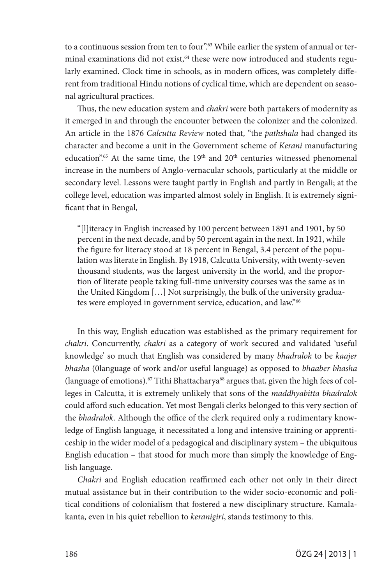to a continuous session from ten to four".<sup>63</sup> While earlier the system of annual or terminal examinations did not exist,<sup>64</sup> these were now introduced and students regularly examined. Clock time in schools, as in modern offices, was completely different from traditional Hindu notions of cyclical time, which are dependent on seasonal agricultural practices.

Thus, the new education system and *chakri* were both partakers of modernity as it emerged in and through the encounter between the colonizer and the colonized. An article in the 1876 *Calcutta Review* noted that, "the *pathshala* had changed its character and become a unit in the Government scheme of *Kerani* manufacturing education".<sup>65</sup> At the same time, the 19<sup>th</sup> and 20<sup>th</sup> centuries witnessed phenomenal increase in the numbers of Anglo-vernacular schools, particularly at the middle or secondary level. Lessons were taught partly in English and partly in Bengali; at the college level, education was imparted almost solely in English. It is extremely significant that in Bengal,

"[l]iteracy in English increased by 100 percent between 1891 and 1901, by 50 percent in the next decade, and by 50 percent again in the next. In 1921, while the figure for literacy stood at 18 percent in Bengal, 3.4 percent of the population was literate in English. By 1918, Calcutta University, with twenty-seven thousand students, was the largest university in the world, and the proportion of literate people taking full-time university courses was the same as in the United Kingdom […] Not surprisingly, the bulk of the university graduates were employed in government service, education, and law."<sup>66</sup>

In this way, English education was established as the primary requirement for *chakri*. Concurrently, *chakri* as a category of work secured and validated 'useful knowledge' so much that English was considered by many *bhadralok* to be *kaajer bhasha* (0language of work and/or useful language) as opposed to *bhaaber bhasha*  (language of emotions).<sup>67</sup> Tithi Bhattacharya<sup>68</sup> argues that, given the high fees of colleges in Calcutta, it is extremely unlikely that sons of the *maddhyabitta bhadralok* could afford such education. Yet most Bengali clerks belonged to this very section of the *bhadralok*. Although the office of the clerk required only a rudimentary knowledge of English language*,* it necessitated a long and intensive training or apprenticeship in the wider model of a pedagogical and disciplinary system – the ubiquitous English education – that stood for much more than simply the knowledge of English language.

*Chakri* and English education reaffirmed each other not only in their direct mutual assistance but in their contribution to the wider socio-economic and political conditions of colonialism that fostered a new disciplinary structure. Kamalakanta, even in his quiet rebellion to *keranigiri*, stands testimony to this.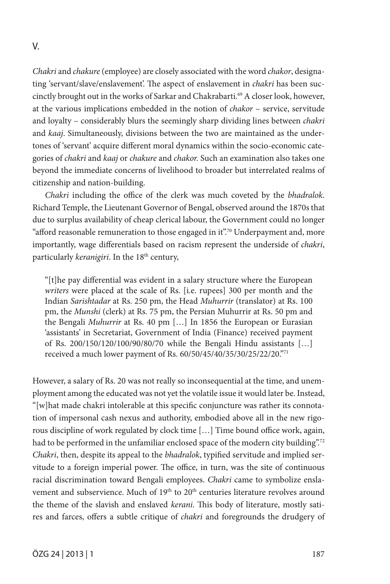*Chakri* and *chakure* (employee) are closely associated with the word *chakor*, designating 'servant/slave/enslavement'. The aspect of enslavement in *chakri* has been succinctly brought out in the works of Sarkar and Chakrabarti.<sup>69</sup> A closer look, however, at the various implications embedded in the notion of *chakor* – service, servitude and loyalty – considerably blurs the seemingly sharp dividing lines between *chakri* and *kaaj*. Simultaneously, divisions between the two are maintained as the undertones of 'servant' acquire different moral dynamics within the socio-economic categories of *chakri* and *kaaj* or *chakure* and *chakor.* Such an examination also takes one beyond the immediate concerns of livelihood to broader but interrelated realms of citizenship and nation-building.

*Chakri* including the office of the clerk was much coveted by the *bhadralok*. Richard Temple, the Lieutenant Governor of Bengal, observed around the 1870s that due to surplus availability of cheap clerical labour, the Government could no longer "afford reasonable remuneration to those engaged in it".70 Underpayment and, more importantly, wage differentials based on racism represent the underside of *chakri*, particularly *keranigiri*. In the 18<sup>th</sup> century,

"[t]he pay differential was evident in a salary structure where the European *writers* were placed at the scale of Rs. [i.e. rupees] 300 per month and the Indian *Sarishtadar* at Rs. 250 pm, the Head *Muhurrir* (translator) at Rs. 100 pm, the *Munshi* (clerk) at Rs. 75 pm, the Persian Muhurrir at Rs. 50 pm and the Bengali *Muhurrir* at Rs. 40 pm […] In 1856 the European or Eurasian 'assistants' in Secretariat, Government of India (Finance) received payment of Rs. 200/150/120/100/90/80/70 while the Bengali Hindu assistants […] received a much lower payment of Rs. 60/50/45/40/35/30/25/22/20."71

However, a salary of Rs. 20 was not really so inconsequential at the time, and unemployment among the educated was not yet the volatile issue it would later be. Instead, "[w]hat made chakri intolerable at this specific conjuncture was rather its connotation of impersonal cash nexus and authority, embodied above all in the new rigorous discipline of work regulated by clock time […] Time bound office work, again, had to be performed in the unfamiliar enclosed space of the modern city building".<sup>72</sup> *Chakri*, then, despite its appeal to the *bhadralok*, typified servitude and implied servitude to a foreign imperial power. The office, in turn, was the site of continuous racial discrimination toward Bengali employees. *Chakri* came to symbolize enslavement and subservience. Much of 19<sup>th</sup> to 20<sup>th</sup> centuries literature revolves around the theme of the slavish and enslaved *kerani*. This body of literature, mostly satires and farces, offers a subtle critique of *chakri* and foregrounds the drudgery of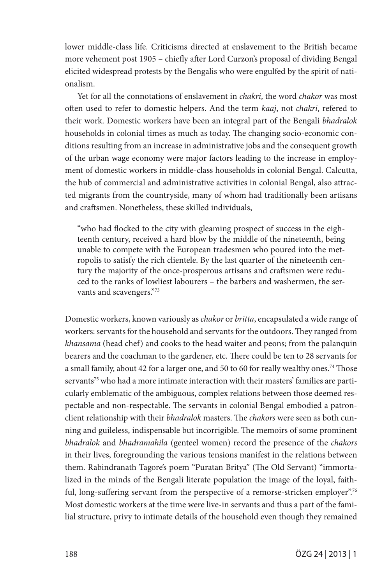lower middle-class life. Criticisms directed at enslavement to the British became more vehement post 1905 – chiefly after Lord Curzon's proposal of dividing Bengal elicited widespread protests by the Bengalis who were engulfed by the spirit of nationalism.

Yet for all the connotations of enslavement in *chakri*, the word *chakor* was most often used to refer to domestic helpers. And the term *kaaj*, not *chakri*, refered to their work. Domestic workers have been an integral part of the Bengali *bhadralok* households in colonial times as much as today. The changing socio-economic conditions resulting from an increase in administrative jobs and the consequent growth of the urban wage economy were major factors leading to the increase in employment of domestic workers in middle-class households in colonial Bengal. Calcutta, the hub of commercial and administrative activities in colonial Bengal, also attracted migrants from the countryside, many of whom had traditionally been artisans and craftsmen. Nonetheless, these skilled individuals,

"who had flocked to the city with gleaming prospect of success in the eighteenth century, received a hard blow by the middle of the nineteenth, being unable to compete with the European tradesmen who poured into the metropolis to satisfy the rich clientele. By the last quarter of the nineteenth century the majority of the once-prosperous artisans and craftsmen were reduced to the ranks of lowliest labourers – the barbers and washermen, the servants and scavengers."73

Domestic workers, known variously as *chakor* or *britta*, encapsulated a wide range of workers: servants for the household and servants for the outdoors. They ranged from *khansama* (head chef) and cooks to the head waiter and peons; from the palanquin bearers and the coachman to the gardener, etc. There could be ten to 28 servants for a small family, about 42 for a larger one, and 50 to 60 for really wealthy ones.74 Those servants<sup>75</sup> who had a more intimate interaction with their masters' families are particularly emblematic of the ambiguous, complex relations between those deemed respectable and non-respectable. The servants in colonial Bengal embodied a patronclient relationship with their *bhadralok* masters. The *chakors* were seen as both cunning and guileless, indispensable but incorrigible. The memoirs of some prominent *bhadralok* and *bhadramahila* (genteel women) record the presence of the *chakors* in their lives, foregrounding the various tensions manifest in the relations between them. Rabindranath Tagore's poem "Puratan Britya" (The Old Servant) "immortalized in the minds of the Bengali literate population the image of the loyal, faithful, long-suffering servant from the perspective of a remorse-stricken employer".<sup>76</sup> Most domestic workers at the time were live-in servants and thus a part of the familial structure, privy to intimate details of the household even though they remained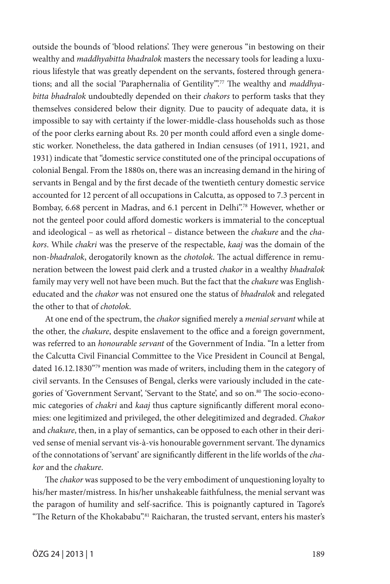outside the bounds of 'blood relations'. They were generous "in bestowing on their wealthy and *maddhyabitta bhadralok* masters the necessary tools for leading a luxurious lifestyle that was greatly dependent on the servants, fostered through generations; and all the social 'Paraphernalia of Gentility'".77 The wealthy and *maddhyabitta bhadralok* undoubtedly depended on their *chakors* to perform tasks that they themselves considered below their dignity. Due to paucity of adequate data, it is impossible to say with certainty if the lower-middle-class households such as those of the poor clerks earning about Rs. 20 per month could afford even a single domestic worker. Nonetheless, the data gathered in Indian censuses (of 1911, 1921, and 1931) indicate that "domestic service constituted one of the principal occupations of colonial Bengal. From the 1880s on, there was an increasing demand in the hiring of servants in Bengal and by the first decade of the twentieth century domestic service accounted for 12 percent of all occupations in Calcutta, as opposed to 7.3 percent in Bombay, 6.68 percent in Madras, and 6.1 percent in Delhi".78 However, whether or not the genteel poor could afford domestic workers is immaterial to the conceptual and ideological – as well as rhetorical – distance between the *chakure* and the *chakors*. While *chakri* was the preserve of the respectable, *kaaj* was the domain of the non-*bhadralok*, derogatorily known as the *chotolok*. The actual difference in remuneration between the lowest paid clerk and a trusted *chakor* in a wealthy *bhadralok* family may very well not have been much. But the fact that the *chakure* was Englisheducated and the *chakor* was not ensured one the status of *bhadralok* and relegated the other to that of *chotolok*.

At one end of the spectrum, the *chakor* signified merely a *menial servant* while at the other, the *chakure*, despite enslavement to the office and a foreign government, was referred to an *honourable servant* of the Government of India. "In a letter from the Calcutta Civil Financial Committee to the Vice President in Council at Bengal, dated 16.12.1830"79 mention was made of writers, including them in the category of civil servants. In the Censuses of Bengal, clerks were variously included in the categories of 'Government Servant', 'Servant to the State', and so on.<sup>80</sup> The socio-economic categories of *chakri* and *kaaj* thus capture significantly different moral economies: one legitimized and privileged, the other delegitimized and degraded. *Chakor* and *chakure*, then, in a play of semantics, can be opposed to each other in their derived sense of menial servant vis-à-vis honourable government servant. The dynamics of the connotations of 'servant' are significantly different in the life worlds of the *chakor* and the *chakure*.

The *chakor* was supposed to be the very embodiment of unquestioning loyalty to his/her master/mistress. In his/her unshakeable faithfulness, the menial servant was the paragon of humility and self-sacrifice. This is poignantly captured in Tagore's "The Return of the Khokababu".<sup>81</sup> Raicharan, the trusted servant, enters his master's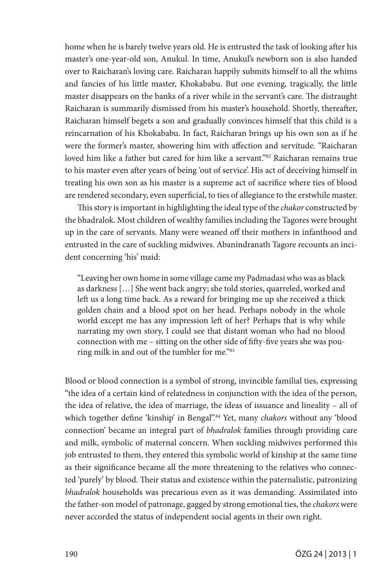home when he is barely twelve years old. He is entrusted the task of looking after his master's one-year-old son, Anukul. In time, Anukul's newborn son is also handed over to Raicharan's loving care. Raicharan happily submits himself to all the whims and fancies of his little master, Khokababu. But one evening, tragically, the little master disappears on the banks of a river while in the servant's care. The distraught Raicharan is summarily dismissed from his master's household. Shortly, thereafter, Raicharan himself begets a son and gradually convinces himself that this child is a reincarnation of his Khokababu. In fact, Raicharan brings up his own son as if he were the former's master, showering him with affection and servitude. "Raicharan loved him like a father but cared for him like a servant."<sup>82</sup> Raicharan remains true to his master even after years of being 'out of service'. His act of deceiving himself in treating his own son as his master is a supreme act of sacrifice where ties of blood are rendered secondary, even superficial, to ties of allegiance to the erstwhile master.

This story is important in highlighting the ideal type of the *chakor* constructed by the bhadralok. Most children of wealthy families including the Tagores were brought up in the care of servants. Many were weaned off their mothers in infanthood and entrusted in the care of suckling midwives. Abanindranath Tagore recounts an incident concerning 'his' maid:

"Leaving her own home in some village came my Padmadasi who was as black as darkness […] She went back angry; she told stories, quarreled, worked and left us a long time back. As a reward for bringing me up she received a thick golden chain and a blood spot on her head. Perhaps nobody in the whole world except me has any impression left of her? Perhaps that is why while narrating my own story, I could see that distant woman who had no blood connection with me – sitting on the other side of fifty-five years she was pouring milk in and out of the tumbler for me."83

Blood or blood connection is a symbol of strong, invincible familial ties, expressing "the idea of a certain kind of relatedness in conjunction with the idea of the person, the idea of relative, the idea of marriage, the ideas of issuance and lineality – all of which together define 'kinship' in Bengal".84 Yet, many *chakors* without any 'blood connection' became an integral part of *bhadralok* families through providing care and milk, symbolic of maternal concern. When suckling midwives performed this job entrusted to them, they entered this symbolic world of kinship at the same time as their significance became all the more threatening to the relatives who connected 'purely' by blood. Their status and existence within the paternalistic, patronizing *bhadralok* households was precarious even as it was demanding. Assimilated into the father-son model of patronage, gagged by strong emotional ties, the *chakors* were never accorded the status of independent social agents in their own right.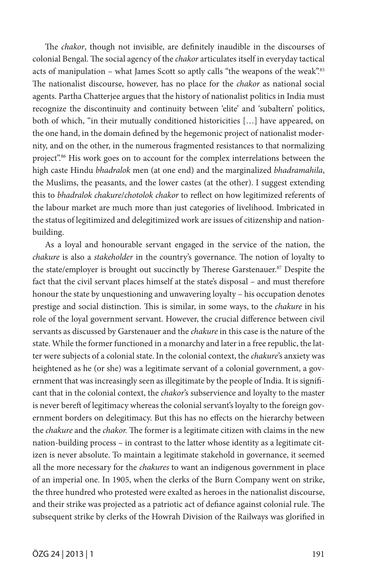The *chakor*, though not invisible, are definitely inaudible in the discourses of colonial Bengal. The social agency of the *chakor* articulates itself in everyday tactical acts of manipulation – what James Scott so aptly calls "the weapons of the weak".<sup>85</sup> The nationalist discourse, however, has no place for the *chakor* as national social agents. Partha Chatterjee argues that the history of nationalist politics in India must recognize the discontinuity and continuity between 'elite' and 'subaltern' politics, both of which, "in their mutually conditioned historicities […] have appeared, on the one hand, in the domain defined by the hegemonic project of nationalist modernity, and on the other, in the numerous fragmented resistances to that normalizing project".<sup>86</sup> His work goes on to account for the complex interrelations between the high caste Hindu *bhadralok* men (at one end) and the marginalized *bhadramahila*, the Muslims, the peasants, and the lower castes (at the other). I suggest extending this to *bhadralok chakure*/*chotolok chakor* to reflect on how legitimized referents of the labour market are much more than just categories of livelihood. Imbricated in the status of legitimized and delegitimized work are issues of citizenship and nationbuilding.

As a loyal and honourable servant engaged in the service of the nation, the *chakure* is also a *stakeholder* in the country's governance. The notion of loyalty to the state/employer is brought out succinctly by Therese Garstenauer.<sup>87</sup> Despite the fact that the civil servant places himself at the state's disposal – and must therefore honour the state by unquestioning and unwavering loyalty – his occupation denotes prestige and social distinction. This is similar, in some ways, to the *chakure* in his role of the loyal government servant. However, the crucial difference between civil servants as discussed by Garstenauer and the *chakure* in this case is the nature of the state. While the former functioned in a monarchy and later in a free republic, the latter were subjects of a colonial state. In the colonial context, the *chakure*'s anxiety was heightened as he (or she) was a legitimate servant of a colonial government, a government that was increasingly seen as illegitimate by the people of India. It is significant that in the colonial context, the *chakor*'s subservience and loyalty to the master is never bereft of legitimacy whereas the colonial servant's loyalty to the foreign government borders on delegitimacy. But this has no effects on the hierarchy between the *chakure* and the *chakor.* The former is a legitimate citizen with claims in the new nation-building process – in contrast to the latter whose identity as a legitimate citizen is never absolute. To maintain a legitimate stakehold in governance, it seemed all the more necessary for the *chakures* to want an indigenous government in place of an imperial one. In 1905, when the clerks of the Burn Company went on strike, the three hundred who protested were exalted as heroes in the nationalist discourse, and their strike was projected as a patriotic act of defiance against colonial rule. The subsequent strike by clerks of the Howrah Division of the Railways was glorified in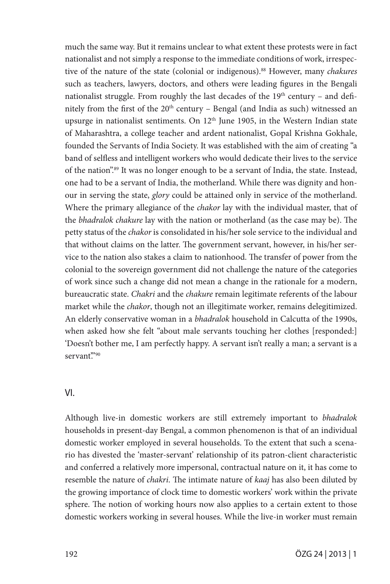much the same way. But it remains unclear to what extent these protests were in fact nationalist and not simply a response to the immediate conditions of work, irrespective of the nature of the state (colonial or indigenous).88 However, many *chakures* such as teachers, lawyers, doctors, and others were leading figures in the Bengali nationalist struggle. From roughly the last decades of the  $19<sup>th</sup>$  century – and definitely from the first of the 20<sup>th</sup> century - Bengal (and India as such) witnessed an upsurge in nationalist sentiments. On  $12<sup>th</sup>$  June 1905, in the Western Indian state of Maharashtra, a college teacher and ardent nationalist, Gopal Krishna Gokhale, founded the Servants of India Society. It was established with the aim of creating "a band of selfless and intelligent workers who would dedicate their lives to the service of the nation".89 It was no longer enough to be a servant of India, the state. Instead, one had to be a servant of India, the motherland. While there was dignity and honour in serving the state, *glory* could be attained only in service of the motherland. Where the primary allegiance of the *chakor* lay with the individual master, that of the *bhadralok chakure* lay with the nation or motherland (as the case may be). The petty status of the *chakor* is consolidated in his/her sole service to the individual and that without claims on the latter. The government servant, however, in his/her service to the nation also stakes a claim to nationhood. The transfer of power from the colonial to the sovereign government did not challenge the nature of the categories of work since such a change did not mean a change in the rationale for a modern, bureaucratic state. *Chakri* and the *chakure* remain legitimate referents of the labour market while the *chakor*, though not an illegitimate worker, remains delegitimized. An elderly conservative woman in a *bhadralok* household in Calcutta of the 1990s, when asked how she felt "about male servants touching her clothes [responded:] 'Doesn't bother me, I am perfectly happy. A servant isn't really a man; a servant is a servant."90

### VI.

Although live-in domestic workers are still extremely important to *bhadralok* households in present-day Bengal, a common phenomenon is that of an individual domestic worker employed in several households. To the extent that such a scenario has divested the 'master-servant' relationship of its patron-client characteristic and conferred a relatively more impersonal, contractual nature on it, it has come to resemble the nature of *chakri*. The intimate nature of *kaaj* has also been diluted by the growing importance of clock time to domestic workers' work within the private sphere. The notion of working hours now also applies to a certain extent to those domestic workers working in several houses. While the live-in worker must remain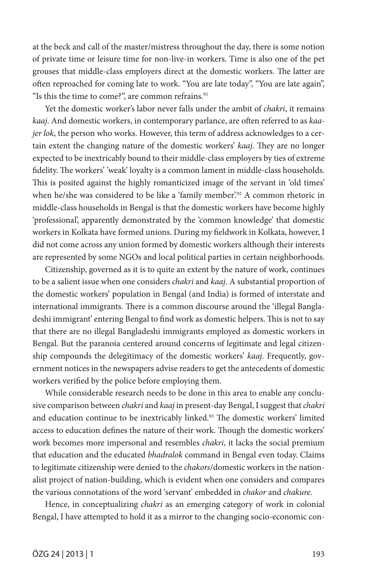at the beck and call of the master/mistress throughout the day, there is some notion of private time or leisure time for non-live-in workers. Time is also one of the pet grouses that middle-class employers direct at the domestic workers. The latter are often reproached for coming late to work. "You are late today", "You are late again", "Is this the time to come?", are common refrains.<sup>91</sup>

Yet the domestic worker's labor never falls under the ambit of *chakri*, it remains *kaaj*. And domestic workers, in contemporary parlance, are often referred to as *kaajer lok*, the person who works. However, this term of address acknowledges to a certain extent the changing nature of the domestic workers' *kaaj*. They are no longer expected to be inextricably bound to their middle-class employers by ties of extreme fidelity. The workers' 'weak' loyalty is a common lament in middle-class households. This is posited against the highly romanticized image of the servant in 'old times' when he/she was considered to be like a 'family member'.<sup>92</sup> A common rhetoric in middle-class households in Bengal is that the domestic workers have become highly 'professional', apparently demonstrated by the 'common knowledge' that domestic workers in Kolkata have formed unions. During my fieldwork in Kolkata, however, I did not come across any union formed by domestic workers although their interests are represented by some NGOs and local political parties in certain neighborhoods.

Citizenship, governed as it is to quite an extent by the nature of work, continues to be a salient issue when one considers *chakri* and *kaaj*. A substantial proportion of the domestic workers' population in Bengal (and India) is formed of interstate and international immigrants. There is a common discourse around the 'illegal Bangladeshi immigrant' entering Bengal to find work as domestic helpers. This is not to say that there are no illegal Bangladeshi immigrants employed as domestic workers in Bengal. But the paranoia centered around concerns of legitimate and legal citizenship compounds the delegitimacy of the domestic workers' *kaaj*. Frequently, government notices in the newspapers advise readers to get the antecedents of domestic workers verified by the police before employing them.

While considerable research needs to be done in this area to enable any conclusive comparison between *chakri* and *kaaj* in present-day Bengal, I suggest that *chakri*  and education continue to be inextricably linked.<sup>93</sup> The domestic workers' limited access to education defines the nature of their work. Though the domestic workers' work becomes more impersonal and resembles *chakri*, it lacks the social premium that education and the educated *bhadralok* command in Bengal even today. Claims to legitimate citizenship were denied to the *chakors*/domestic workers in the nationalist project of nation-building, which is evident when one considers and compares the various connotations of the word 'servant' embedded in *chakor* and *chakure*.

Hence, in conceptualizing *chakri* as an emerging category of work in colonial Bengal, I have attempted to hold it as a mirror to the changing socio-economic con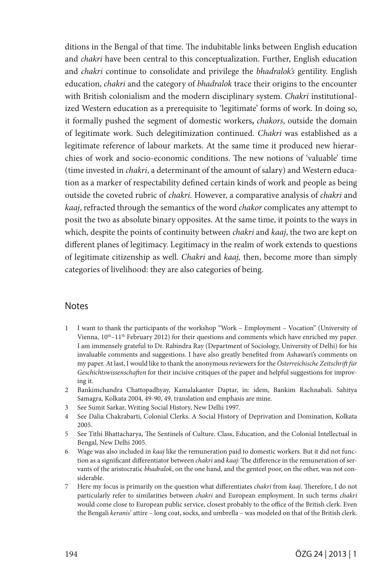ditions in the Bengal of that time. The indubitable links between English education and *chakri* have been central to this conceptualization. Further, English education and *chakri* continue to consolidate and privilege the *bhadralok's* gentility. English education, *chakri* and the category of *bhadralok* trace their origins to the encounter with British colonialism and the modern disciplinary system. *Chakri* institutionalized Western education as a prerequisite to 'legitimate' forms of work. In doing so, it formally pushed the segment of domestic workers**,** *chakors*, outside the domain of legitimate work. Such delegitimization continued. *Chakri* was established as a legitimate reference of labour markets. At the same time it produced new hierarchies of work and socio-economic conditions. The new notions of 'valuable' time (time invested in *chakri*, a determinant of the amount of salary) and Western education as a marker of respectability defined certain kinds of work and people as being outside the coveted rubric of *chakri.* However, a comparative analysis of *chakri* and *kaaj*, refracted through the semantics of the word *chakor* complicates any attempt to posit the two as absolute binary opposites. At the same time, it points to the ways in which, despite the points of continuity between *chakri* and *kaaj*, the two are kept on different planes of legitimacy. Legitimacy in the realm of work extends to questions of legitimate citizenship as well. *Chakri* and *kaaj,* then, become more than simply categories of livelihood: they are also categories of being.

#### **Notes**

- 1 I want to thank the participants of the workshop "Work Employment Vocation" (University of Vienna,  $10^{th}-11^{th}$  February 2012) for their questions and comments which have enriched my paper. I am immensely grateful to Dr. Rabindra Ray (Department of Sociology, University of Delhi) for his invaluable comments and suggestions. I have also greatly benefited from Ashawari's comments on my paper. At last, I would like to thank the anonymous reviewers for the *Österreichische Zeitschrift für Geschichtswissenschaften* for their incisive critiques of the paper and helpful suggestions for improving it.
- 2 Bankimchandra Chattopadhyay, Kamalakanter Daptar, in: idem, Bankim Rachnabali. Sahitya Samagra, Kolkata 2004, 49-90, 49, translation and emphasis are mine.
- 3 See Sumit Sarkar, Writing Social History, New Delhi 1997.
- 4 See Dalia Chakrabarti, Colonial Clerks. A Social History of Deprivation and Domination, Kolkata 2005.
- 5 See Tithi Bhattacharya, The Sentinels of Culture. Class, Education, and the Colonial Intellectual in Bengal, New Delhi 2005.
- 6 Wage was also included in *kaaj* like the remuneration paid to domestic workers. But it did not function as a significant differentiator between *chakri* and *kaaj*: The difference in the remuneration of servants of the aristocratic *bhadralok*, on the one hand, and the genteel poor, on the other, was not considerable.
- 7 Here my focus is primarily on the question what differentiates *chakri* from *kaaj*. Therefore, I do not particularly refer to similarities between *chakri* and European employment. In such terms *chakri* would come close to European public service, closest probably to the office of the British clerk. Even the Bengali *keranis*' attire – long coat, socks, and umbrella – was modeled on that of the British clerk.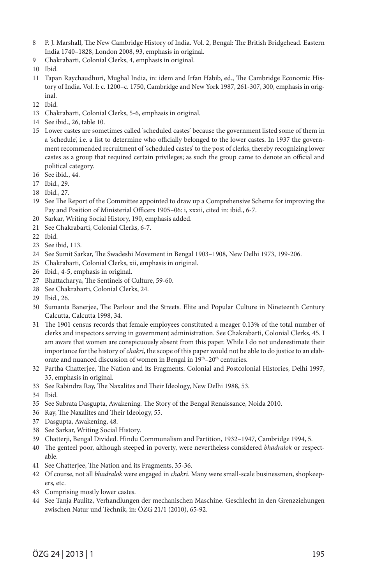- P. J. Marshall, The New Cambridge History of India. Vol. 2, Bengal: The British Bridgehead. Eastern India 1740–1828, London 2008, 93, emphasis in original.
- Chakrabarti, Colonial Clerks, 4, emphasis in original.
- Ibid.
- Tapan Raychaudhuri, Mughal India, in: idem and Irfan Habib, ed., The Cambridge Economic History of India. Vol. I: c. 1200–c. 1750, Cambridge and New York 1987, 261-307, 300, emphasis in original.
- Ibid.
- Chakrabarti, Colonial Clerks, 5-6, emphasis in original.
- See ibid., 26, table 10.
- Lower castes are sometimes called 'scheduled castes' because the government listed some of them in a 'schedule', i.e. a list to determine who officially belonged to the lower castes. In 1937 the government recommended recruitment of 'scheduled castes' to the post of clerks, thereby recognizing lower castes as a group that required certain privileges; as such the group came to denote an official and political category.
- See ibid., 44.
- Ibid., 29.
- Ibid., 27.
- See The Report of the Committee appointed to draw up a Comprehensive Scheme for improving the Pay and Position of Ministerial Officers 1905–06: i, xxxii, cited in: ibid., 6-7.
- Sarkar, Writing Social History, 190, emphasis added.
- See Chakrabarti, Colonial Clerks, 6-7.
- Ibid.
- See ibid, 113.
- See Sumit Sarkar, The Swadeshi Movement in Bengal 1903–1908, New Delhi 1973, 199-206.
- Chakrabarti, Colonial Clerks, xii, emphasis in original.
- Ibid., 4-5, emphasis in original.
- Bhattacharya, The Sentinels of Culture, 59-60.
- See Chakrabarti, Colonial Clerks, 24.
- Ibid., 26.
- Sumanta Banerjee, The Parlour and the Streets. Elite and Popular Culture in Nineteenth Century Calcutta, Calcutta 1998, 34.
- The 1901 census records that female employees constituted a meager 0.13% of the total number of clerks and inspectors serving in government administration. See Chakrabarti, Colonial Clerks, 45. I am aware that women are conspicuously absent from this paper. While I do not underestimate their importance for the history of *chakri*, the scope of this paper would not be able to do justice to an elaborate and nuanced discussion of women in Bengal in 19<sup>th</sup>-20<sup>th</sup> centuries.
- Partha Chatterjee, The Nation and its Fragments. Colonial and Postcolonial Histories, Delhi 1997, 35, emphasis in original.
- See Rabindra Ray, The Naxalites and Their Ideology, New Delhi 1988, 53.
- Ibid.
- See Subrata Dasgupta, Awakening*.* The Story of the Bengal Renaissance, Noida 2010.
- Ray, The Naxalites and Their Ideology, 55.
- Dasgupta, Awakening, 48.
- See Sarkar, Writing Social History.
- Chatterji, Bengal Divided. Hindu Communalism and Partition, 1932–1947, Cambridge 1994, 5.
- The genteel poor, although steeped in poverty, were nevertheless considered *bhadralok* or respectable.
- See Chatterjee, The Nation and its Fragments, 35-36.
- Of course, not all *bhadralok* were engaged in *chakri*. Many were small-scale businessmen, shopkeepers, etc.
- Comprising mostly lower castes.
- See Tanja Paulitz, Verhandlungen der mechanischen Maschine. Geschlecht in den Grenzziehungen zwischen Natur und Technik, in: ÖZG 21/1 (2010), 65-92.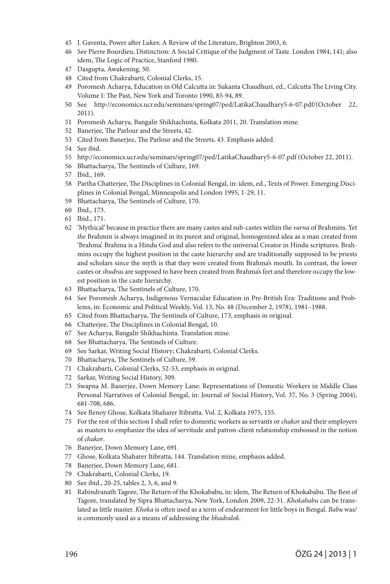- J. Gaventa, Power after Lukes: A Review of the Literature, Brighton 2003, 6.
- See Pierre Bourdieu, Distinction: A Social Critique of the Judgment of Taste. London 1984, 141; also idem, The Logic of Practice, Stanford 1980.
- Dasgupta, Awakening, 50.
- Cited from Chakrabarti, Colonial Clerks, 15.
- Poromesh Acharya, Education in Old Calcutta in: Sukanta Chaudhuri, ed., Calcutta The Living City. Volume I: The Past, New York and Toronto 1990, 85-94, 89.
- See http://economics.ucr.edu/seminars/spring07/ped/LatikaChaudhary5-6-07.pdf/(October 22, 2011).
- Poromesh Acharya, Bangalir Shikhachinta, Kolkata 2011, 20. Translation mine.
- Banerjee, The Parlour and the Streets, 42.
- Cited from Banerjee, The Parlour and the Streets, 43. Emphasis added.
- See ibid.
- http://economics.ucr.edu/seminars/spring07/ped/LatikaChaudhary5-6-07.pdf (October 22, 2011).
- Bhattacharya, The Sentinels of Culture, 169.
- Ibid., 169.
- Partha Chatterjee, The Disciplines in Colonial Bengal, in: idem, ed., Texts of Power. Emerging Disciplines in Colonial Bengal, Minneapolis and London 1995, 1-29, 11.
- Bhattacharya, The Sentinels of Culture, 170.
- Ibid., 173.
- Ibid., 171.
- 'Mythical' because in practice there are many castes and sub-castes within the *varna* of Brahmins. Yet *the* Brahmin is always imagined in its purest and original, homogenized idea as a man created from 'Brahma'. Brahma is a Hindu God and also refers to the universal Creator in Hindu scriptures. Brahmins occupy the highest position in the caste hierarchy and are traditionally supposed to be priests and scholars since the myth is that they were created from Brahma's mouth. In contrast, the lower castes or *shudras* are supposed to have been created from Brahma's feet and therefore occupy the lowest position in the caste hierarchy.
- Bhattacharya, The Sentinels of Culture, 170.
- See Poromesh Acharya, Indigenous Vernacular Education in Pre-British Era: Traditions and Problems, in: Economic and Political Weekly, Vol. 13, No. 48 (December 2, 1978), 1981–1988.
- Cited from Bhattacharya, The Sentinels of Culture, 173, emphasis in original.
- Chatterjee, The Disciplines in Colonial Bengal, 10.
- See Acharya, Bangalir Shikhachinta. Translation mine.
- See Bhattacharya, The Sentinels of Culture.
- See Sarkar, Writing Social History; Chakrabarti, Colonial Clerks.
- Bhattacharya, The Sentinels of Culture, 59.
- Chakrabarti, Colonial Clerks, 52-53, emphasis in original.
- Sarkar, Writing Social History, 309.
- Swapna M. Banerjee, Down Memory Lane: Representations of Domestic Workers in Middle Class Personal Narratives of Colonial Bengal, in: Journal of Social History, Vol. 37, No. 3 (Spring 2004), 681-708, 686.
- See Benoy Ghose, Kolkata Shaharer Itibratta. Vol. 2, Kolkata 1975, 155.
- For the rest of this section I shall refer to domestic workers as servants or *chakor* and their employers as masters to emphasize the idea of servitude and patron-client relationship embossed in the notion of *chakor*.
- Banerjee, Down Memory Lane, 691.
- Ghose, Kolkata Shaharer Itibratta, 144. Translation mine, emphasis added.
- Banerjee, Down Memory Lane, 681.
- Chakrabarti, Colonial Clerks, 19.
- See ibid., 20-25, tables 2, 3, 6, and 9.
- Rabindranath Tagore, The Return of the Khokababu, in: idem, The Return of Khokababu. The Best of Tagore, translated by Sipra Bhattacharya, New York, London 2009, 22-31. *Khokababu* can be translated as little master. *Khoka* is often used as a term of endearment for little boys in Bengal. *Babu* was/ is commonly used as a means of addressing the *bhadralok*.